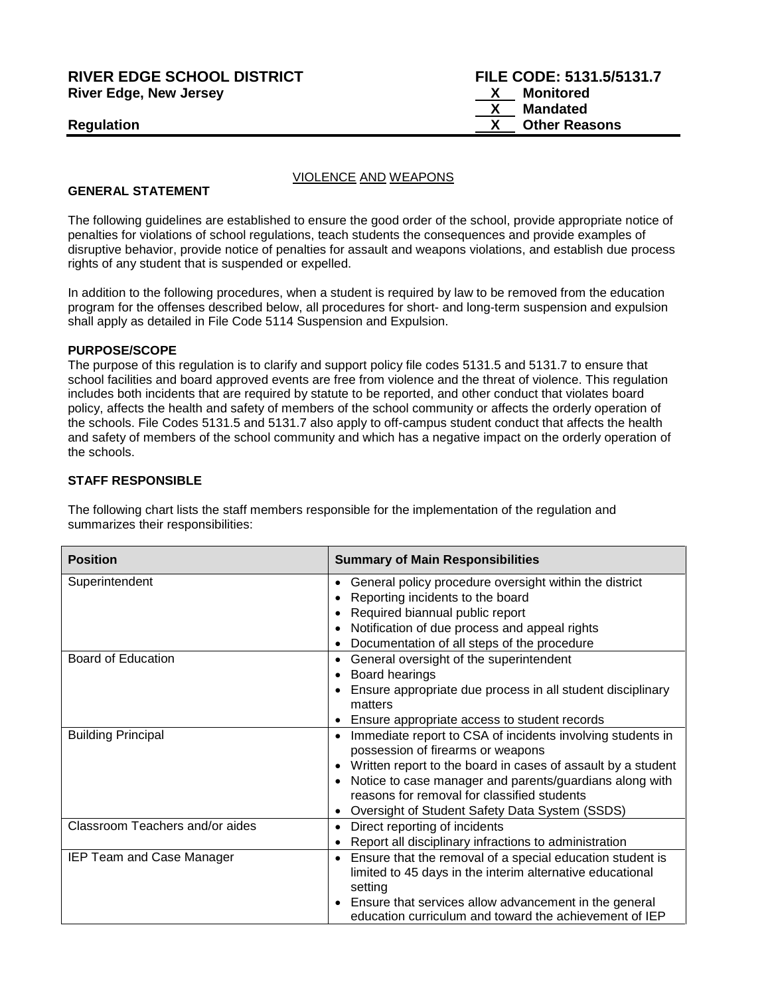## **RIVER EDGE SCHOOL DISTRICT FILE CODE: 5131.5/5131.7 River Edge, New Jersey**

#### VIOLENCE AND WEAPONS

#### **GENERAL STATEMENT**

The following guidelines are established to ensure the good order of the school, provide appropriate notice of penalties for violations of school regulations, teach students the consequences and provide examples of disruptive behavior, provide notice of penalties for assault and weapons violations, and establish due process rights of any student that is suspended or expelled.

In addition to the following procedures, when a student is required by law to be removed from the education program for the offenses described below, all procedures for short- and long-term suspension and expulsion shall apply as detailed in File Code 5114 Suspension and Expulsion.

#### **PURPOSE/SCOPE**

The purpose of this regulation is to clarify and support policy file codes 5131.5 and 5131.7 to ensure that school facilities and board approved events are free from violence and the threat of violence. This regulation includes both incidents that are required by statute to be reported, and other conduct that violates board policy, affects the health and safety of members of the school community or affects the orderly operation of the schools. File Codes 5131.5 and 5131.7 also apply to off-campus student conduct that affects the health and safety of members of the school community and which has a negative impact on the orderly operation of the schools.

## **STAFF RESPONSIBLE**

The following chart lists the staff members responsible for the implementation of the regulation and summarizes their responsibilities:

| <b>Position</b>                 | <b>Summary of Main Responsibilities</b>                                                         |  |  |
|---------------------------------|-------------------------------------------------------------------------------------------------|--|--|
| Superintendent                  | General policy procedure oversight within the district<br>$\bullet$                             |  |  |
|                                 | Reporting incidents to the board                                                                |  |  |
|                                 | Required biannual public report                                                                 |  |  |
|                                 | Notification of due process and appeal rights                                                   |  |  |
|                                 | Documentation of all steps of the procedure                                                     |  |  |
| Board of Education              | General oversight of the superintendent                                                         |  |  |
|                                 | Board hearings                                                                                  |  |  |
|                                 | Ensure appropriate due process in all student disciplinary<br>matters                           |  |  |
|                                 | Ensure appropriate access to student records                                                    |  |  |
| <b>Building Principal</b>       | Immediate report to CSA of incidents involving students in<br>possession of firearms or weapons |  |  |
|                                 | Written report to the board in cases of assault by a student                                    |  |  |
|                                 | Notice to case manager and parents/guardians along with                                         |  |  |
|                                 | reasons for removal for classified students                                                     |  |  |
|                                 | Oversight of Student Safety Data System (SSDS)                                                  |  |  |
| Classroom Teachers and/or aides | Direct reporting of incidents                                                                   |  |  |
|                                 | Report all disciplinary infractions to administration                                           |  |  |
| IEP Team and Case Manager       | Ensure that the removal of a special education student is                                       |  |  |
|                                 | limited to 45 days in the interim alternative educational                                       |  |  |
|                                 | setting                                                                                         |  |  |
|                                 | • Ensure that services allow advancement in the general                                         |  |  |
|                                 | education curriculum and toward the achievement of IEP                                          |  |  |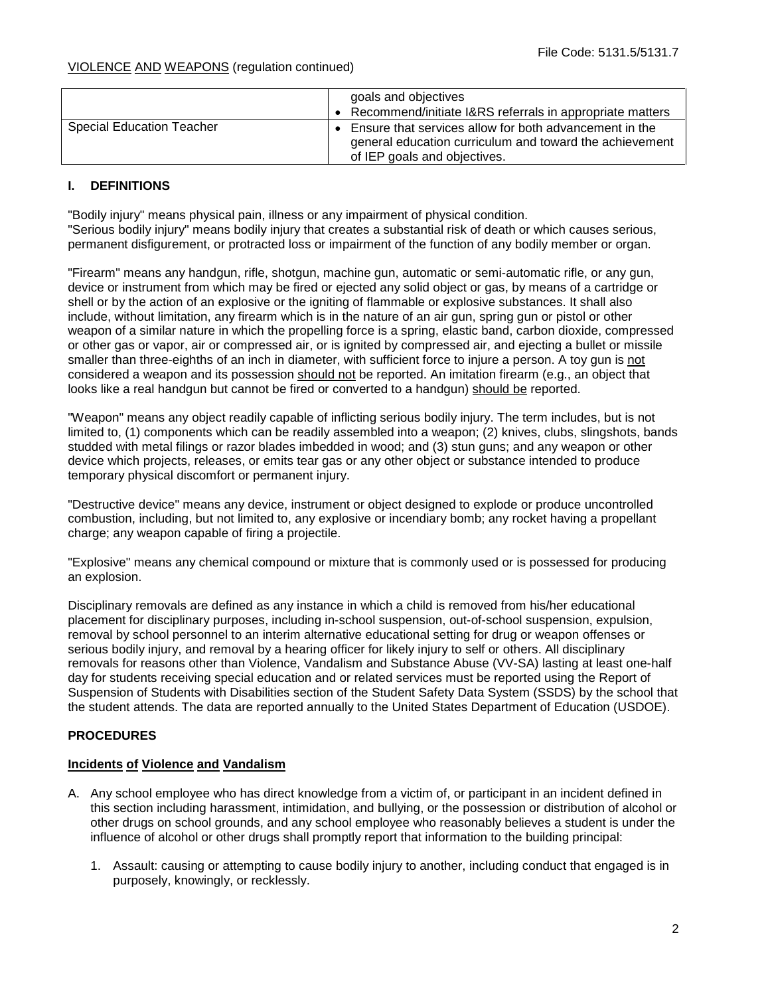|                           | goals and objectives<br>Recommend/initiate I&RS referrals in appropriate matters                                                                  |
|---------------------------|---------------------------------------------------------------------------------------------------------------------------------------------------|
| Special Education Teacher | Ensure that services allow for both advancement in the<br>general education curriculum and toward the achievement<br>of IEP goals and objectives. |

## **I. DEFINITIONS**

"Bodily injury" means physical pain, illness or any impairment of physical condition. "Serious bodily injury" means bodily injury that creates a substantial risk of death or which causes serious, permanent disfigurement, or protracted loss or impairment of the function of any bodily member or organ.

"Firearm" means any handgun, rifle, shotgun, machine gun, automatic or semi-automatic rifle, or any gun, device or instrument from which may be fired or ejected any solid object or gas, by means of a cartridge or shell or by the action of an explosive or the igniting of flammable or explosive substances. It shall also include, without limitation, any firearm which is in the nature of an air gun, spring gun or pistol or other weapon of a similar nature in which the propelling force is a spring, elastic band, carbon dioxide, compressed or other gas or vapor, air or compressed air, or is ignited by compressed air, and ejecting a bullet or missile smaller than three-eighths of an inch in diameter, with sufficient force to injure a person. A toy gun is not considered a weapon and its possession should not be reported. An imitation firearm (e.g., an object that looks like a real handgun but cannot be fired or converted to a handgun) should be reported.

"Weapon" means any object readily capable of inflicting serious bodily injury. The term includes, but is not limited to, (1) components which can be readily assembled into a weapon; (2) knives, clubs, slingshots, bands studded with metal filings or razor blades imbedded in wood; and (3) stun guns; and any weapon or other device which projects, releases, or emits tear gas or any other object or substance intended to produce temporary physical discomfort or permanent injury.

"Destructive device" means any device, instrument or object designed to explode or produce uncontrolled combustion, including, but not limited to, any explosive or incendiary bomb; any rocket having a propellant charge; any weapon capable of firing a projectile.

"Explosive" means any chemical compound or mixture that is commonly used or is possessed for producing an explosion.

Disciplinary removals are defined as any instance in which a child is removed from his/her educational placement for disciplinary purposes, including in-school suspension, out-of-school suspension, expulsion, removal by school personnel to an interim alternative educational setting for drug or weapon offenses or serious bodily injury, and removal by a hearing officer for likely injury to self or others. All disciplinary removals for reasons other than Violence, Vandalism and Substance Abuse (VV-SA) lasting at least one-half day for students receiving special education and or related services must be reported using the Report of Suspension of Students with Disabilities section of the Student Safety Data System (SSDS) by the school that the student attends. The data are reported annually to the United States Department of Education (USDOE).

## **PROCEDURES**

## **Incidents of Violence and Vandalism**

- A. Any school employee who has direct knowledge from a victim of, or participant in an incident defined in this section including harassment, intimidation, and bullying, or the possession or distribution of alcohol or other drugs on school grounds, and any school employee who reasonably believes a student is under the influence of alcohol or other drugs shall promptly report that information to the building principal:
	- 1. Assault: causing or attempting to cause bodily injury to another, including conduct that engaged is in purposely, knowingly, or recklessly.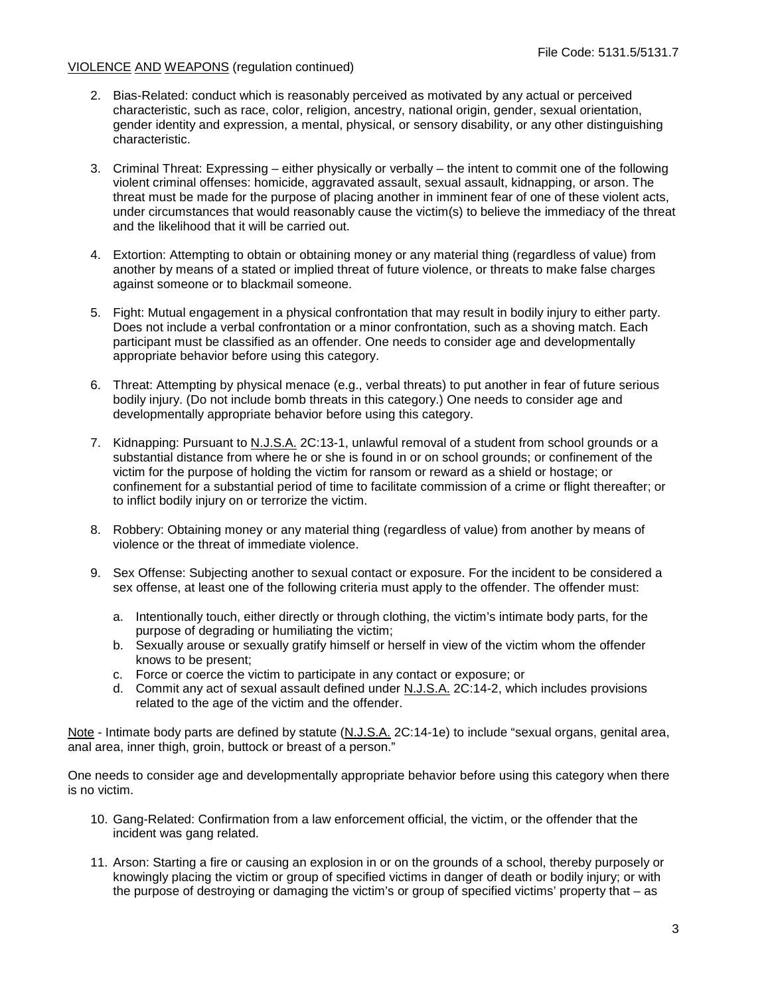- 2. Bias-Related: conduct which is reasonably perceived as motivated by any actual or perceived characteristic, such as race, color, religion, ancestry, national origin, gender, sexual orientation, gender identity and expression, a mental, physical, or sensory disability, or any other distinguishing characteristic.
- 3. Criminal Threat: Expressing either physically or verbally the intent to commit one of the following violent criminal offenses: homicide, aggravated assault, sexual assault, kidnapping, or arson. The threat must be made for the purpose of placing another in imminent fear of one of these violent acts, under circumstances that would reasonably cause the victim(s) to believe the immediacy of the threat and the likelihood that it will be carried out.
- 4. Extortion: Attempting to obtain or obtaining money or any material thing (regardless of value) from another by means of a stated or implied threat of future violence, or threats to make false charges against someone or to blackmail someone.
- 5. Fight: Mutual engagement in a physical confrontation that may result in bodily injury to either party. Does not include a verbal confrontation or a minor confrontation, such as a shoving match. Each participant must be classified as an offender. One needs to consider age and developmentally appropriate behavior before using this category.
- 6. Threat: Attempting by physical menace (e.g., verbal threats) to put another in fear of future serious bodily injury. (Do not include bomb threats in this category.) One needs to consider age and developmentally appropriate behavior before using this category.
- 7. Kidnapping: Pursuant to N.J.S.A. 2C:13-1, unlawful removal of a student from school grounds or a substantial distance from where he or she is found in or on school grounds; or confinement of the victim for the purpose of holding the victim for ransom or reward as a shield or hostage; or confinement for a substantial period of time to facilitate commission of a crime or flight thereafter; or to inflict bodily injury on or terrorize the victim.
- 8. Robbery: Obtaining money or any material thing (regardless of value) from another by means of violence or the threat of immediate violence.
- 9. Sex Offense: Subjecting another to sexual contact or exposure. For the incident to be considered a sex offense, at least one of the following criteria must apply to the offender. The offender must:
	- a. Intentionally touch, either directly or through clothing, the victim's intimate body parts, for the purpose of degrading or humiliating the victim;
	- b. Sexually arouse or sexually gratify himself or herself in view of the victim whom the offender knows to be present;
	- c. Force or coerce the victim to participate in any contact or exposure; or
	- d. Commit any act of sexual assault defined under N.J.S.A. 2C:14-2, which includes provisions related to the age of the victim and the offender.

Note - Intimate body parts are defined by statute (N.J.S.A. 2C:14-1e) to include "sexual organs, genital area, anal area, inner thigh, groin, buttock or breast of a person."

One needs to consider age and developmentally appropriate behavior before using this category when there is no victim.

- 10. Gang-Related: Confirmation from a law enforcement official, the victim, or the offender that the incident was gang related.
- 11. Arson: Starting a fire or causing an explosion in or on the grounds of a school, thereby purposely or knowingly placing the victim or group of specified victims in danger of death or bodily injury; or with the purpose of destroying or damaging the victim's or group of specified victims' property that – as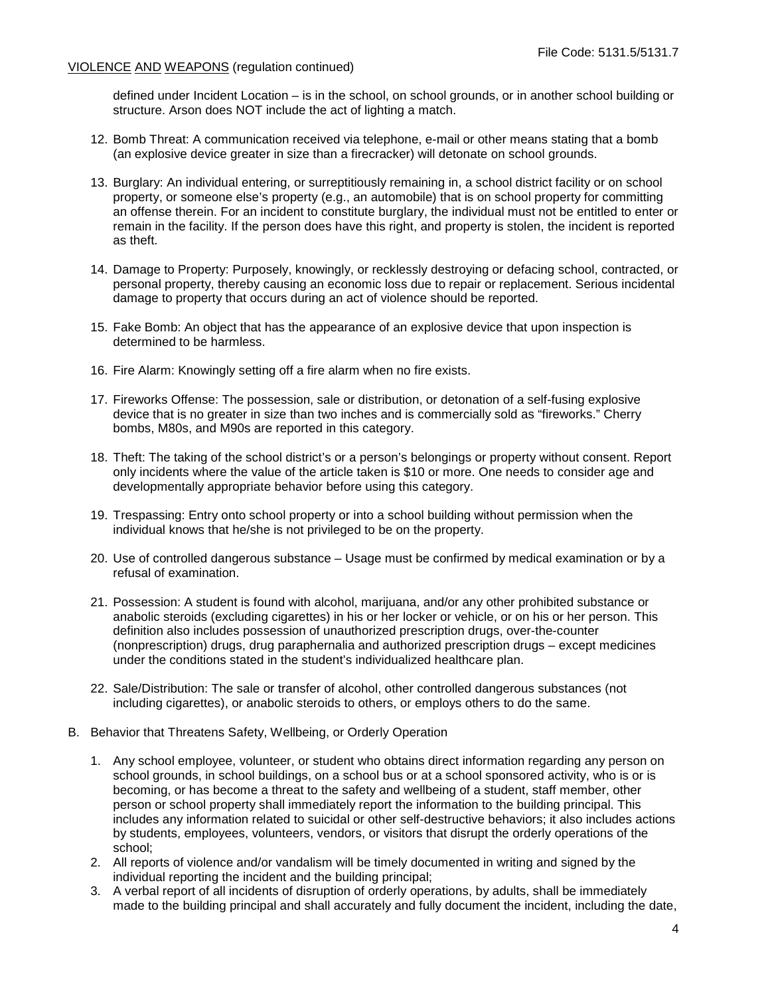defined under Incident Location – is in the school, on school grounds, or in another school building or structure. Arson does NOT include the act of lighting a match.

- 12. Bomb Threat: A communication received via telephone, e-mail or other means stating that a bomb (an explosive device greater in size than a firecracker) will detonate on school grounds.
- 13. Burglary: An individual entering, or surreptitiously remaining in, a school district facility or on school property, or someone else's property (e.g., an automobile) that is on school property for committing an offense therein. For an incident to constitute burglary, the individual must not be entitled to enter or remain in the facility. If the person does have this right, and property is stolen, the incident is reported as theft.
- 14. Damage to Property: Purposely, knowingly, or recklessly destroying or defacing school, contracted, or personal property, thereby causing an economic loss due to repair or replacement. Serious incidental damage to property that occurs during an act of violence should be reported.
- 15. Fake Bomb: An object that has the appearance of an explosive device that upon inspection is determined to be harmless.
- 16. Fire Alarm: Knowingly setting off a fire alarm when no fire exists.
- 17. Fireworks Offense: The possession, sale or distribution, or detonation of a self-fusing explosive device that is no greater in size than two inches and is commercially sold as "fireworks." Cherry bombs, M80s, and M90s are reported in this category.
- 18. Theft: The taking of the school district's or a person's belongings or property without consent. Report only incidents where the value of the article taken is \$10 or more. One needs to consider age and developmentally appropriate behavior before using this category.
- 19. Trespassing: Entry onto school property or into a school building without permission when the individual knows that he/she is not privileged to be on the property.
- 20. Use of controlled dangerous substance Usage must be confirmed by medical examination or by a refusal of examination.
- 21. Possession: A student is found with alcohol, marijuana, and/or any other prohibited substance or anabolic steroids (excluding cigarettes) in his or her locker or vehicle, or on his or her person. This definition also includes possession of unauthorized prescription drugs, over-the-counter (nonprescription) drugs, drug paraphernalia and authorized prescription drugs – except medicines under the conditions stated in the student's individualized healthcare plan.
- 22. Sale/Distribution: The sale or transfer of alcohol, other controlled dangerous substances (not including cigarettes), or anabolic steroids to others, or employs others to do the same.
- B. Behavior that Threatens Safety, Wellbeing, or Orderly Operation
	- 1. Any school employee, volunteer, or student who obtains direct information regarding any person on school grounds, in school buildings, on a school bus or at a school sponsored activity, who is or is becoming, or has become a threat to the safety and wellbeing of a student, staff member, other person or school property shall immediately report the information to the building principal. This includes any information related to suicidal or other self-destructive behaviors; it also includes actions by students, employees, volunteers, vendors, or visitors that disrupt the orderly operations of the school;
	- 2. All reports of violence and/or vandalism will be timely documented in writing and signed by the individual reporting the incident and the building principal;
	- 3. A verbal report of all incidents of disruption of orderly operations, by adults, shall be immediately made to the building principal and shall accurately and fully document the incident, including the date,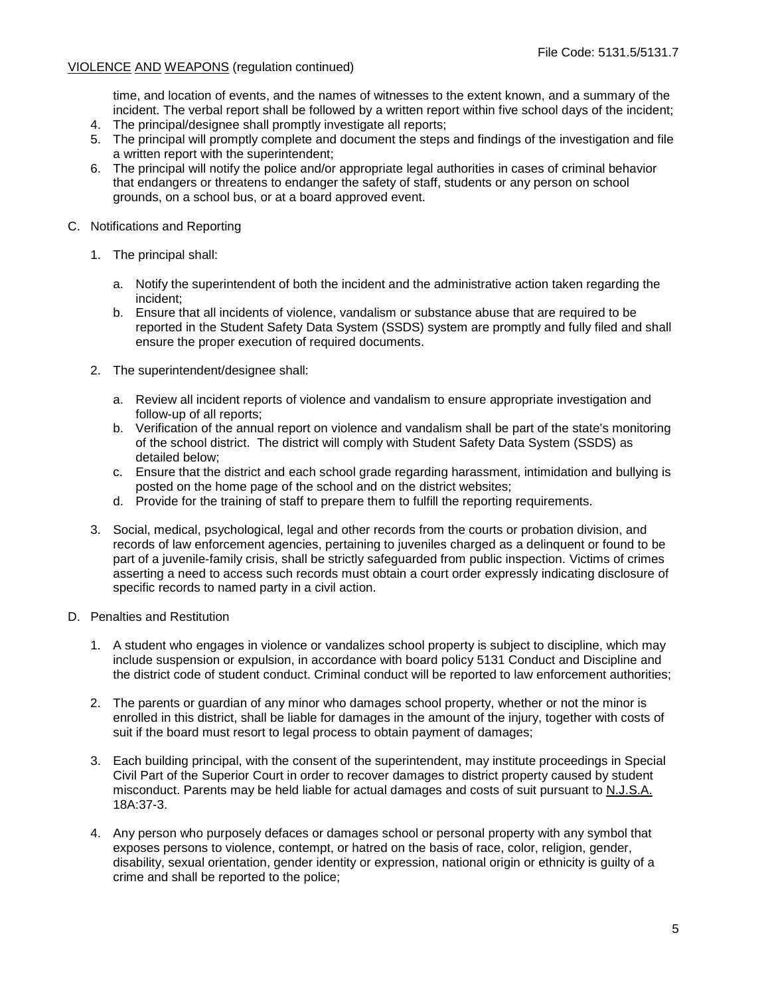time, and location of events, and the names of witnesses to the extent known, and a summary of the incident. The verbal report shall be followed by a written report within five school days of the incident;

- 4. The principal/designee shall promptly investigate all reports;
- 5. The principal will promptly complete and document the steps and findings of the investigation and file a written report with the superintendent;
- 6. The principal will notify the police and/or appropriate legal authorities in cases of criminal behavior that endangers or threatens to endanger the safety of staff, students or any person on school grounds, on a school bus, or at a board approved event.
- C. Notifications and Reporting
	- 1. The principal shall:
		- a. Notify the superintendent of both the incident and the administrative action taken regarding the incident;
		- b. Ensure that all incidents of violence, vandalism or substance abuse that are required to be reported in the Student Safety Data System (SSDS) system are promptly and fully filed and shall ensure the proper execution of required documents.
	- 2. The superintendent/designee shall:
		- a. Review all incident reports of violence and vandalism to ensure appropriate investigation and follow-up of all reports;
		- b. Verification of the annual report on violence and vandalism shall be part of the state's monitoring of the school district. The district will comply with Student Safety Data System (SSDS) as detailed below;
		- c. Ensure that the district and each school grade regarding harassment, intimidation and bullying is posted on the home page of the school and on the district websites;
		- d. Provide for the training of staff to prepare them to fulfill the reporting requirements.
	- 3. Social, medical, psychological, legal and other records from the courts or probation division, and records of law enforcement agencies, pertaining to juveniles charged as a delinquent or found to be part of a juvenile-family crisis, shall be strictly safeguarded from public inspection. Victims of crimes asserting a need to access such records must obtain a court order expressly indicating disclosure of specific records to named party in a civil action.
- D. Penalties and Restitution
	- 1. A student who engages in violence or vandalizes school property is subject to discipline, which may include suspension or expulsion, in accordance with board policy 5131 Conduct and Discipline and the district code of student conduct. Criminal conduct will be reported to law enforcement authorities;
	- 2. The parents or guardian of any minor who damages school property, whether or not the minor is enrolled in this district, shall be liable for damages in the amount of the injury, together with costs of suit if the board must resort to legal process to obtain payment of damages;
	- 3. Each building principal, with the consent of the superintendent, may institute proceedings in Special Civil Part of the Superior Court in order to recover damages to district property caused by student misconduct. Parents may be held liable for actual damages and costs of suit pursuant to N.J.S.A. 18A:37-3.
	- 4. Any person who purposely defaces or damages school or personal property with any symbol that exposes persons to violence, contempt, or hatred on the basis of race, color, religion, gender, disability, sexual orientation, gender identity or expression, national origin or ethnicity is guilty of a crime and shall be reported to the police;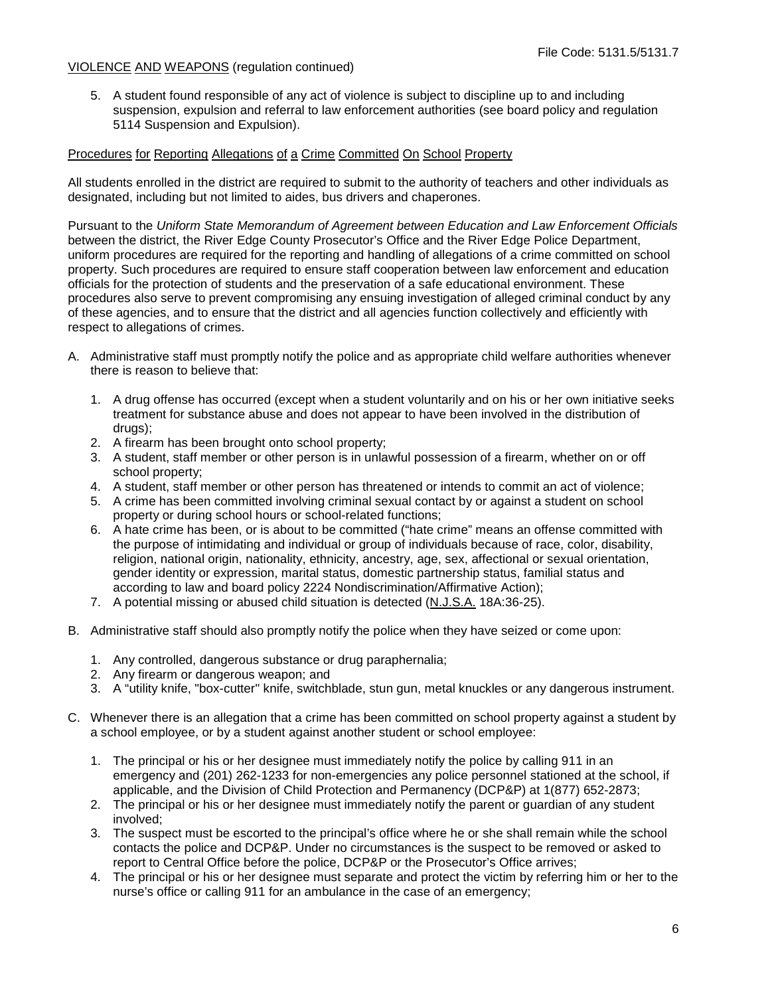5. A student found responsible of any act of violence is subject to discipline up to and including suspension, expulsion and referral to law enforcement authorities (see board policy and regulation 5114 Suspension and Expulsion).

## Procedures for Reporting Allegations of a Crime Committed On School Property

All students enrolled in the district are required to submit to the authority of teachers and other individuals as designated, including but not limited to aides, bus drivers and chaperones.

Pursuant to the *Uniform State Memorandum of Agreement between Education and Law Enforcement Officials* between the district, the River Edge County Prosecutor's Office and the River Edge Police Department, uniform procedures are required for the reporting and handling of allegations of a crime committed on school property. Such procedures are required to ensure staff cooperation between law enforcement and education officials for the protection of students and the preservation of a safe educational environment. These procedures also serve to prevent compromising any ensuing investigation of alleged criminal conduct by any of these agencies, and to ensure that the district and all agencies function collectively and efficiently with respect to allegations of crimes.

- A. Administrative staff must promptly notify the police and as appropriate child welfare authorities whenever there is reason to believe that:
	- 1. A drug offense has occurred (except when a student voluntarily and on his or her own initiative seeks treatment for substance abuse and does not appear to have been involved in the distribution of drugs);
	- 2. A firearm has been brought onto school property;
	- 3. A student, staff member or other person is in unlawful possession of a firearm, whether on or off school property;
	- 4. A student, staff member or other person has threatened or intends to commit an act of violence;
	- 5. A crime has been committed involving criminal sexual contact by or against a student on school property or during school hours or school-related functions;
	- 6. A hate crime has been, or is about to be committed ("hate crime" means an offense committed with the purpose of intimidating and individual or group of individuals because of race, color, disability, religion, national origin, nationality, ethnicity, ancestry, age, sex, affectional or sexual orientation, gender identity or expression, marital status, domestic partnership status, familial status and according to law and board policy 2224 Nondiscrimination/Affirmative Action);
	- 7. A potential missing or abused child situation is detected (N.J.S.A. 18A:36-25).
- B. Administrative staff should also promptly notify the police when they have seized or come upon:
	- 1. Any controlled, dangerous substance or drug paraphernalia;
	- 2. Any firearm or dangerous weapon; and
	- 3. A "utility knife, "box-cutter" knife, switchblade, stun gun, metal knuckles or any dangerous instrument.
- C. Whenever there is an allegation that a crime has been committed on school property against a student by a school employee, or by a student against another student or school employee:
	- 1. The principal or his or her designee must immediately notify the police by calling 911 in an emergency and (201) 262-1233 for non-emergencies any police personnel stationed at the school, if applicable, and the Division of Child Protection and Permanency (DCP&P) at 1(877) 652-2873;
	- 2. The principal or his or her designee must immediately notify the parent or guardian of any student involved;
	- 3. The suspect must be escorted to the principal's office where he or she shall remain while the school contacts the police and DCP&P. Under no circumstances is the suspect to be removed or asked to report to Central Office before the police, DCP&P or the Prosecutor's Office arrives;
	- 4. The principal or his or her designee must separate and protect the victim by referring him or her to the nurse's office or calling 911 for an ambulance in the case of an emergency;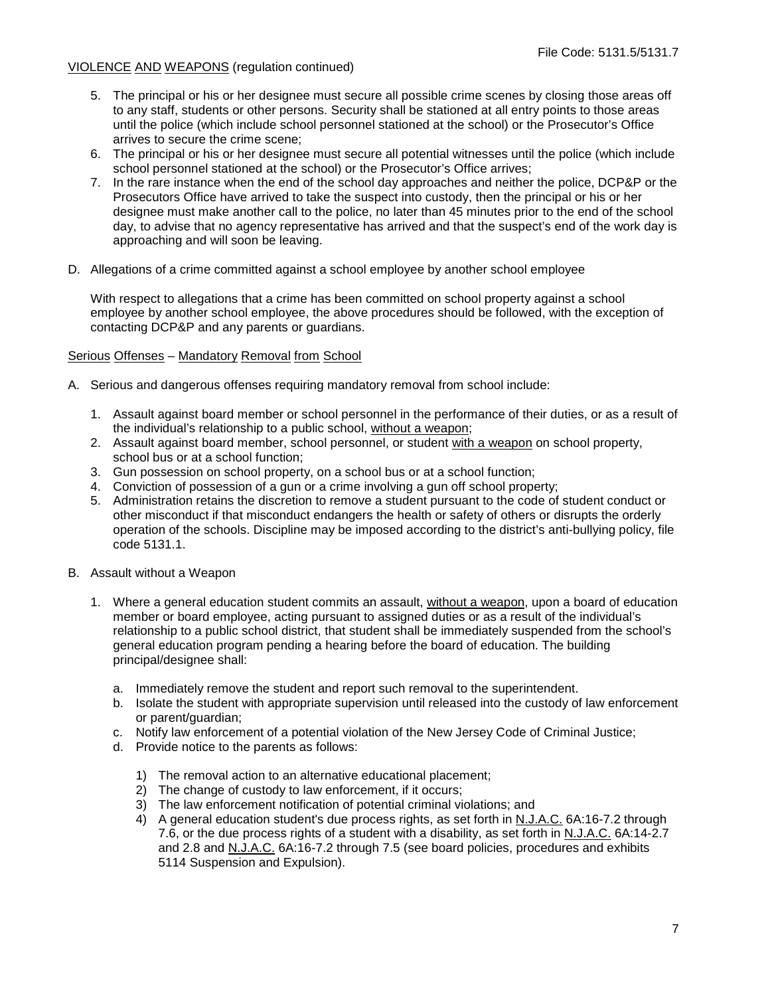- 5. The principal or his or her designee must secure all possible crime scenes by closing those areas off to any staff, students or other persons. Security shall be stationed at all entry points to those areas until the police (which include school personnel stationed at the school) or the Prosecutor's Office arrives to secure the crime scene;
- 6. The principal or his or her designee must secure all potential witnesses until the police (which include school personnel stationed at the school) or the Prosecutor's Office arrives;
- 7. In the rare instance when the end of the school day approaches and neither the police, DCP&P or the Prosecutors Office have arrived to take the suspect into custody, then the principal or his or her designee must make another call to the police, no later than 45 minutes prior to the end of the school day, to advise that no agency representative has arrived and that the suspect's end of the work day is approaching and will soon be leaving.
- D. Allegations of a crime committed against a school employee by another school employee

With respect to allegations that a crime has been committed on school property against a school employee by another school employee, the above procedures should be followed, with the exception of contacting DCP&P and any parents or guardians.

## Serious Offenses – Mandatory Removal from School

- A. Serious and dangerous offenses requiring mandatory removal from school include:
	- 1. Assault against board member or school personnel in the performance of their duties, or as a result of the individual's relationship to a public school, without a weapon;
	- 2. Assault against board member, school personnel, or student with a weapon on school property, school bus or at a school function;
	- 3. Gun possession on school property, on a school bus or at a school function;
	- 4. Conviction of possession of a gun or a crime involving a gun off school property;
	- 5. Administration retains the discretion to remove a student pursuant to the code of student conduct or other misconduct if that misconduct endangers the health or safety of others or disrupts the orderly operation of the schools. Discipline may be imposed according to the district's anti-bullying policy, file code 5131.1.
- B. Assault without a Weapon
	- 1. Where a general education student commits an assault, without a weapon, upon a board of education member or board employee, acting pursuant to assigned duties or as a result of the individual's relationship to a public school district, that student shall be immediately suspended from the school's general education program pending a hearing before the board of education. The building principal/designee shall:
		- a. Immediately remove the student and report such removal to the superintendent.
		- b. Isolate the student with appropriate supervision until released into the custody of law enforcement or parent/guardian;
		- c. Notify law enforcement of a potential violation of the New Jersey Code of Criminal Justice;
		- d. Provide notice to the parents as follows:
			- 1) The removal action to an alternative educational placement;
			- 2) The change of custody to law enforcement, if it occurs;
			- 3) The law enforcement notification of potential criminal violations; and
			- 4) A general education student's due process rights, as set forth in N.J.A.C. 6A:16-7.2 through 7.6, or the due process rights of a student with a disability, as set forth in N.J.A.C. 6A:14-2.7 and 2.8 and N.J.A.C. 6A:16-7.2 through 7.5 (see board policies, procedures and exhibits 5114 Suspension and Expulsion).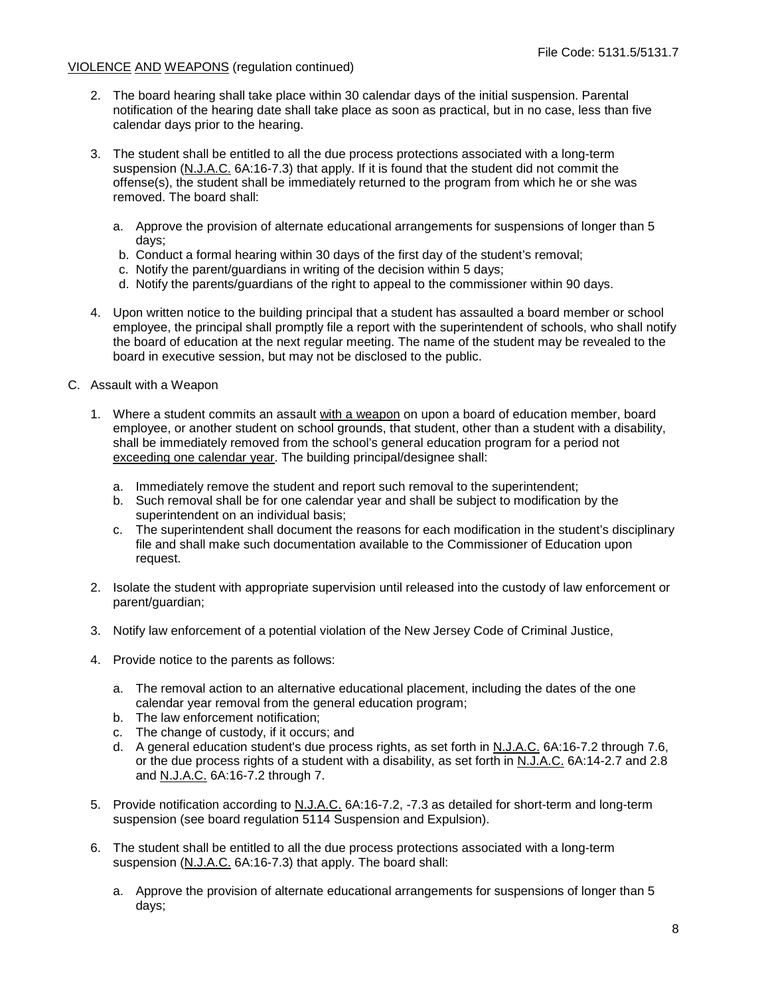- 2. The board hearing shall take place within 30 calendar days of the initial suspension. Parental notification of the hearing date shall take place as soon as practical, but in no case, less than five calendar days prior to the hearing.
- 3. The student shall be entitled to all the due process protections associated with a long-term suspension (N.J.A.C. 6A:16-7.3) that apply. If it is found that the student did not commit the offense(s), the student shall be immediately returned to the program from which he or she was removed. The board shall:
	- a. Approve the provision of alternate educational arrangements for suspensions of longer than 5 days;
	- b. Conduct a formal hearing within 30 days of the first day of the student's removal;
	- c. Notify the parent/guardians in writing of the decision within 5 days;
	- d. Notify the parents/guardians of the right to appeal to the commissioner within 90 days.
- 4. Upon written notice to the building principal that a student has assaulted a board member or school employee, the principal shall promptly file a report with the superintendent of schools, who shall notify the board of education at the next regular meeting. The name of the student may be revealed to the board in executive session, but may not be disclosed to the public.
- C. Assault with a Weapon
	- 1. Where a student commits an assault with a weapon on upon a board of education member, board employee, or another student on school grounds, that student, other than a student with a disability, shall be immediately removed from the school's general education program for a period not exceeding one calendar year. The building principal/designee shall:
		- a. Immediately remove the student and report such removal to the superintendent;
		- b. Such removal shall be for one calendar year and shall be subject to modification by the superintendent on an individual basis;
		- c. The superintendent shall document the reasons for each modification in the student's disciplinary file and shall make such documentation available to the Commissioner of Education upon request.
	- 2. Isolate the student with appropriate supervision until released into the custody of law enforcement or parent/guardian;
	- 3. Notify law enforcement of a potential violation of the New Jersey Code of Criminal Justice,
	- 4. Provide notice to the parents as follows:
		- a. The removal action to an alternative educational placement, including the dates of the one calendar year removal from the general education program;
		- b. The law enforcement notification;
		- c. The change of custody, if it occurs; and
		- d. A general education student's due process rights, as set forth in N.J.A.C. 6A:16-7.2 through 7.6, or the due process rights of a student with a disability, as set forth in N.J.A.C. 6A:14-2.7 and 2.8 and N.J.A.C. 6A:16-7.2 through 7.
	- 5. Provide notification according to N.J.A.C. 6A:16-7.2, -7.3 as detailed for short-term and long-term suspension (see board regulation 5114 Suspension and Expulsion).
	- 6. The student shall be entitled to all the due process protections associated with a long-term suspension (N.J.A.C. 6A:16-7.3) that apply. The board shall:
		- a. Approve the provision of alternate educational arrangements for suspensions of longer than 5 days;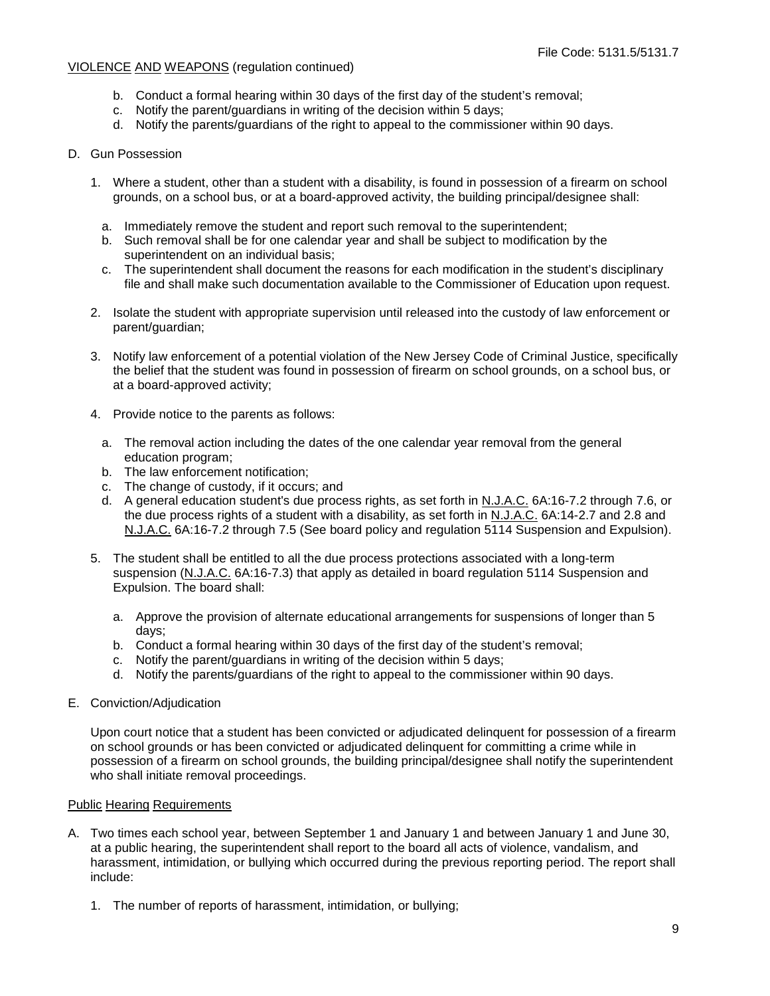- b. Conduct a formal hearing within 30 days of the first day of the student's removal;
- c. Notify the parent/guardians in writing of the decision within 5 days;
- d. Notify the parents/guardians of the right to appeal to the commissioner within 90 days.

## D. Gun Possession

- 1. Where a student, other than a student with a disability, is found in possession of a firearm on school grounds, on a school bus, or at a board-approved activity, the building principal/designee shall:
	- a. Immediately remove the student and report such removal to the superintendent;
	- b. Such removal shall be for one calendar year and shall be subject to modification by the superintendent on an individual basis;
	- c. The superintendent shall document the reasons for each modification in the student's disciplinary file and shall make such documentation available to the Commissioner of Education upon request.
- 2. Isolate the student with appropriate supervision until released into the custody of law enforcement or parent/guardian;
- 3. Notify law enforcement of a potential violation of the New Jersey Code of Criminal Justice, specifically the belief that the student was found in possession of firearm on school grounds, on a school bus, or at a board-approved activity;
- 4. Provide notice to the parents as follows:
	- a. The removal action including the dates of the one calendar year removal from the general education program;
	- b. The law enforcement notification;
	- c. The change of custody, if it occurs; and
	- d. A general education student's due process rights, as set forth in N.J.A.C. 6A:16-7.2 through 7.6, or the due process rights of a student with a disability, as set forth in N.J.A.C. 6A:14-2.7 and 2.8 and N.J.A.C. 6A:16-7.2 through 7.5 (See board policy and regulation 5114 Suspension and Expulsion).
- 5. The student shall be entitled to all the due process protections associated with a long-term suspension (N.J.A.C. 6A:16-7.3) that apply as detailed in board regulation 5114 Suspension and Expulsion. The board shall:
	- a. Approve the provision of alternate educational arrangements for suspensions of longer than 5 days;
	- b. Conduct a formal hearing within 30 days of the first day of the student's removal;
	- c. Notify the parent/guardians in writing of the decision within 5 days;
	- d. Notify the parents/guardians of the right to appeal to the commissioner within 90 days.
- E. Conviction/Adjudication

Upon court notice that a student has been convicted or adjudicated delinquent for possession of a firearm on school grounds or has been convicted or adjudicated delinquent for committing a crime while in possession of a firearm on school grounds, the building principal/designee shall notify the superintendent who shall initiate removal proceedings.

#### Public Hearing Requirements

- A. Two times each school year, between September 1 and January 1 and between January 1 and June 30, at a public hearing, the superintendent shall report to the board all acts of violence, vandalism, and harassment, intimidation, or bullying which occurred during the previous reporting period. The report shall include:
	- 1. The number of reports of harassment, intimidation, or bullying;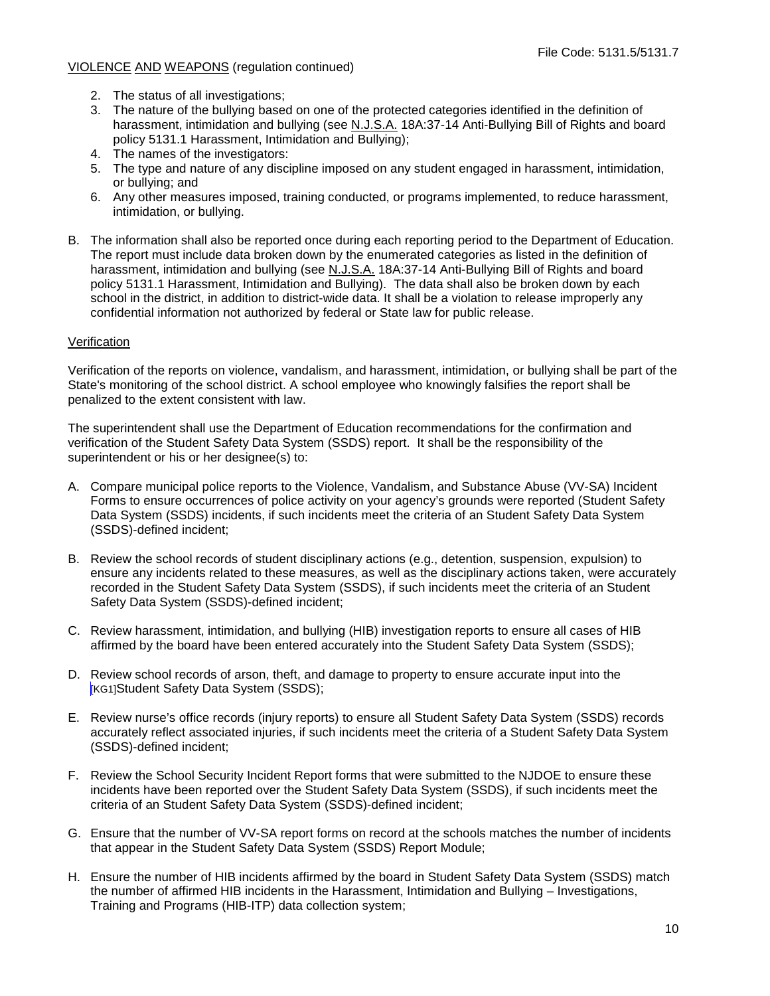- 2. The status of all investigations;
- 3. The nature of the bullying based on one of the protected categories identified in the definition of harassment, intimidation and bullying (see N.J.S.A. 18A:37-14 Anti-Bullying Bill of Rights and board policy 5131.1 Harassment, Intimidation and Bullying);
- 4. The names of the investigators:
- 5. The type and nature of any discipline imposed on any student engaged in harassment, intimidation, or bullying; and
- 6. Any other measures imposed, training conducted, or programs implemented, to reduce harassment, intimidation, or bullying.
- B. The information shall also be reported once during each reporting period to the Department of Education. The report must include data broken down by the enumerated categories as listed in the definition of harassment, intimidation and bullying (see N.J.S.A. 18A:37-14 Anti-Bullying Bill of Rights and board policy 5131.1 Harassment, Intimidation and Bullying). The data shall also be broken down by each school in the district, in addition to district-wide data. It shall be a violation to release improperly any confidential information not authorized by federal or State law for public release.

#### Verification

Verification of the reports on violence, vandalism, and harassment, intimidation, or bullying shall be part of the State's monitoring of the school district. A school employee who knowingly falsifies the report shall be penalized to the extent consistent with law.

The superintendent shall use the Department of Education recommendations for the confirmation and verification of the Student Safety Data System (SSDS) report. It shall be the responsibility of the superintendent or his or her designee(s) to:

- A. Compare municipal police reports to the Violence, Vandalism, and Substance Abuse (VV-SA) Incident Forms to ensure occurrences of police activity on your agency's grounds were reported (Student Safety Data System (SSDS) incidents, if such incidents meet the criteria of an Student Safety Data System (SSDS)-defined incident;
- B. Review the school records of student disciplinary actions (e.g., detention, suspension, expulsion) to ensure any incidents related to these measures, as well as the disciplinary actions taken, were accurately recorded in the Student Safety Data System (SSDS), if such incidents meet the criteria of an Student Safety Data System (SSDS)-defined incident;
- C. Review harassment, intimidation, and bullying (HIB) investigation reports to ensure all cases of HIB affirmed by the board have been entered accurately into the Student Safety Data System (SSDS);
- D. Review school records of arson, theft, and damage to property to ensure accurate input into the [KG1]Student Safety Data System (SSDS);
- E. Review nurse's office records (injury reports) to ensure all Student Safety Data System (SSDS) records accurately reflect associated injuries, if such incidents meet the criteria of a Student Safety Data System (SSDS)-defined incident;
- F. Review the School Security Incident Report forms that were submitted to the NJDOE to ensure these incidents have been reported over the Student Safety Data System (SSDS), if such incidents meet the criteria of an Student Safety Data System (SSDS)-defined incident;
- G. Ensure that the number of VV-SA report forms on record at the schools matches the number of incidents that appear in the Student Safety Data System (SSDS) Report Module;
- H. Ensure the number of HIB incidents affirmed by the board in Student Safety Data System (SSDS) match the number of affirmed HIB incidents in the Harassment, Intimidation and Bullying – Investigations, Training and Programs (HIB-ITP) data collection system;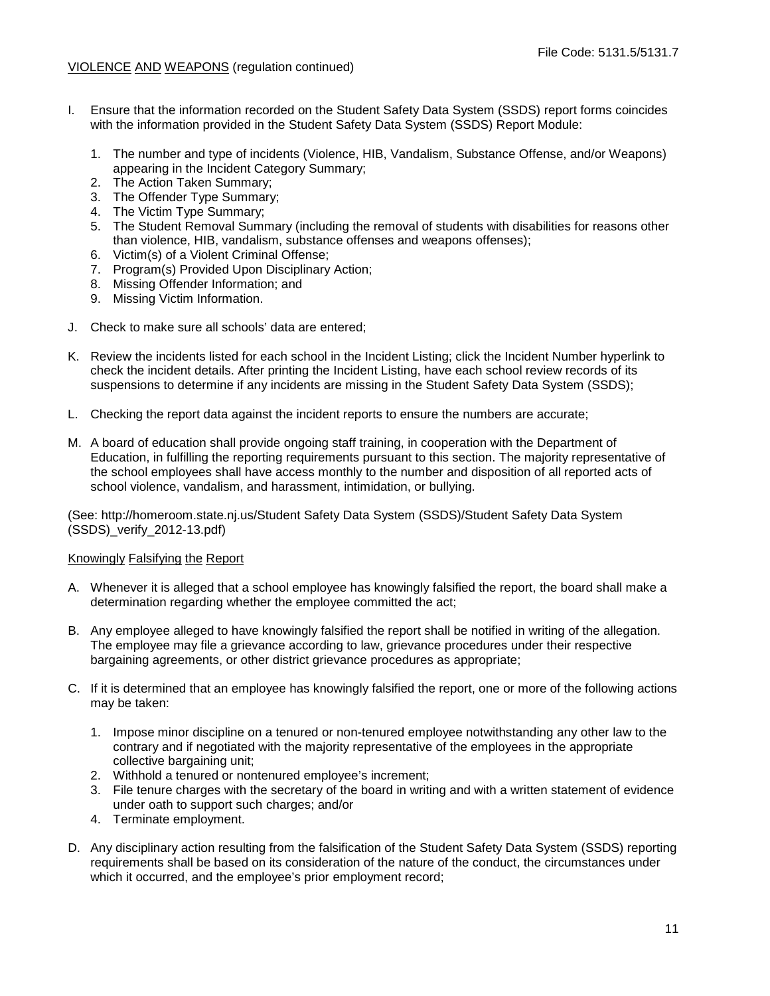- I. Ensure that the information recorded on the Student Safety Data System (SSDS) report forms coincides with the information provided in the Student Safety Data System (SSDS) Report Module:
	- 1. The number and type of incidents (Violence, HIB, Vandalism, Substance Offense, and/or Weapons) appearing in the Incident Category Summary;
	- 2. The Action Taken Summary;
	- 3. The Offender Type Summary;
	- 4. The Victim Type Summary;
	- 5. The Student Removal Summary (including the removal of students with disabilities for reasons other than violence, HIB, vandalism, substance offenses and weapons offenses);
	- 6. Victim(s) of a Violent Criminal Offense;
	- 7. Program(s) Provided Upon Disciplinary Action;
	- 8. Missing Offender Information; and
	- 9. Missing Victim Information.
- J. Check to make sure all schools' data are entered;
- K. Review the incidents listed for each school in the Incident Listing; click the Incident Number hyperlink to check the incident details. After printing the Incident Listing, have each school review records of its suspensions to determine if any incidents are missing in the Student Safety Data System (SSDS);
- L. Checking the report data against the incident reports to ensure the numbers are accurate;
- M. A board of education shall provide ongoing staff training, in cooperation with the Department of Education, in fulfilling the reporting requirements pursuant to this section. The majority representative of the school employees shall have access monthly to the number and disposition of all reported acts of school violence, vandalism, and harassment, intimidation, or bullying.

(See: http://homeroom.state.nj.us/Student Safety Data System (SSDS)/Student Safety Data System (SSDS)\_verify\_2012-13.pdf)

#### Knowingly Falsifying the Report

- A. Whenever it is alleged that a school employee has knowingly falsified the report, the board shall make a determination regarding whether the employee committed the act;
- B. Any employee alleged to have knowingly falsified the report shall be notified in writing of the allegation. The employee may file a grievance according to law, grievance procedures under their respective bargaining agreements, or other district grievance procedures as appropriate;
- C. If it is determined that an employee has knowingly falsified the report, one or more of the following actions may be taken:
	- 1. Impose minor discipline on a tenured or non-tenured employee notwithstanding any other law to the contrary and if negotiated with the majority representative of the employees in the appropriate collective bargaining unit;
	- 2. Withhold a tenured or nontenured employee's increment;
	- 3. File tenure charges with the secretary of the board in writing and with a written statement of evidence under oath to support such charges; and/or
	- 4. Terminate employment.
- D. Any disciplinary action resulting from the falsification of the Student Safety Data System (SSDS) reporting requirements shall be based on its consideration of the nature of the conduct, the circumstances under which it occurred, and the employee's prior employment record;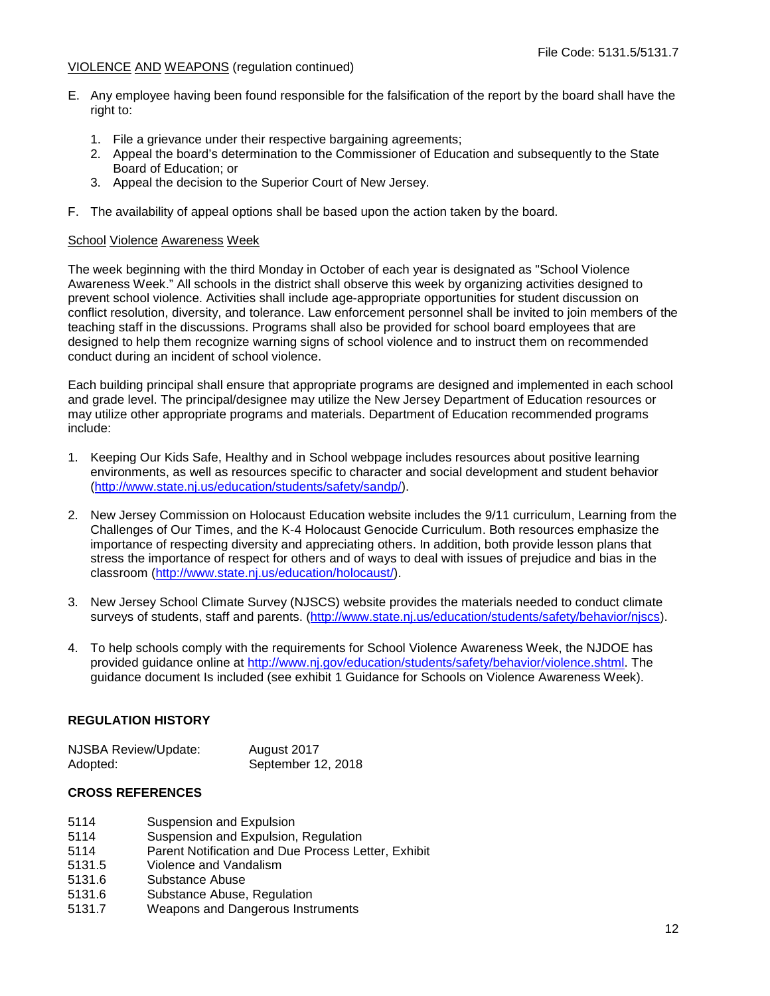- E. Any employee having been found responsible for the falsification of the report by the board shall have the right to:
	- 1. File a grievance under their respective bargaining agreements;
	- 2. Appeal the board's determination to the Commissioner of Education and subsequently to the State Board of Education; or
	- 3. Appeal the decision to the Superior Court of New Jersey.
- F. The availability of appeal options shall be based upon the action taken by the board.

#### School Violence Awareness Week

The week beginning with the third Monday in October of each year is designated as "School Violence Awareness Week." All schools in the district shall observe this week by organizing activities designed to prevent school violence. Activities shall include age-appropriate opportunities for student discussion on conflict resolution, diversity, and tolerance. Law enforcement personnel shall be invited to join members of the teaching staff in the discussions. Programs shall also be provided for school board employees that are designed to help them recognize warning signs of school violence and to instruct them on recommended conduct during an incident of school violence.

Each building principal shall ensure that appropriate programs are designed and implemented in each school and grade level. The principal/designee may utilize the New Jersey Department of Education resources or may utilize other appropriate programs and materials. Department of Education recommended programs include:

- 1. Keeping Our Kids Safe, Healthy and in School webpage includes resources about positive learning environments, as well as resources specific to character and social development and student behavior [\(http://www.state.nj.us/education/students/safety/sandp/\)](http://www.state.nj.us/education/students/safety/sandp/).
- 2. New Jersey Commission on Holocaust Education website includes the 9/11 curriculum, Learning from the Challenges of Our Times, and the K-4 Holocaust Genocide Curriculum. Both resources emphasize the importance of respecting diversity and appreciating others. In addition, both provide lesson plans that stress the importance of respect for others and of ways to deal with issues of prejudice and bias in the classroom [\(http://www.state.nj.us/education/holocaust/\)](http://www.state.nj.us/education/holocaust/).
- 3. New Jersey School Climate Survey (NJSCS) website provides the materials needed to conduct climate surveys of students, staff and parents. [\(http://www.state.nj.us/education/students/safety/behavior/njscs\)](http://www.state.nj.us/education/students/safety/behavior/njscs).
- 4. To help schools comply with the requirements for School Violence Awareness Week, the NJDOE has provided guidance online at [http://www.nj.gov/education/students/safety/behavior/violence.shtml.](http://www.nj.gov/education/students/safety/behavior/violence.shtml) The guidance document Is included (see exhibit 1 Guidance for Schools on Violence Awareness Week).

### **REGULATION HISTORY**

| <b>NJSBA Review/Update:</b> | August 2017        |
|-----------------------------|--------------------|
| Adopted:                    | September 12, 2018 |

#### **CROSS REFERENCES**

- 5114 Suspension and Expulsion<br>5114 Suspension and Expulsion.
- Suspension and Expulsion, Regulation
- 5114 Parent Notification and Due Process Letter, Exhibit<br>5131.5 Violence and Vandalism
- Violence and Vandalism
- 5131.6 Substance Abuse
- 5131.6 Substance Abuse, Regulation
- 5131.7 Weapons and Dangerous Instruments